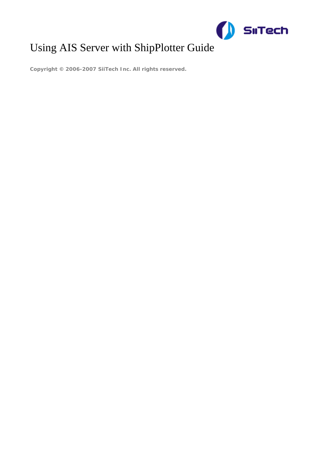

# Using AIS Server with ShipPlotter Guid[e](http://www.siitech.com)

**Copyright © 2006-2007 SiiTech Inc. All rights reserved.**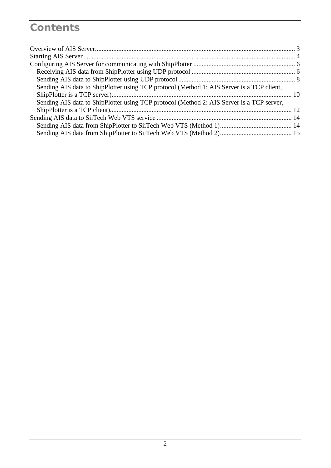## **Contents**

| Sending AIS data to ShipPlotter using TCP protocol (Method 1: AIS Server is a TCP client, |  |
|-------------------------------------------------------------------------------------------|--|
|                                                                                           |  |
| Sending AIS data to ShipPlotter using TCP protocol (Method 2: AIS Server is a TCP server, |  |
|                                                                                           |  |
|                                                                                           |  |
|                                                                                           |  |
|                                                                                           |  |
|                                                                                           |  |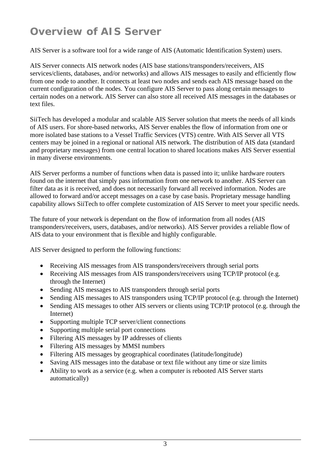## <span id="page-2-0"></span>**Overview of AIS Server**

AIS Server is a software tool for a wide range of AIS (Automatic Identification System) users.

AIS Server connects AIS network nodes (AIS base stations/transponders/receivers, AIS services/clients, databases, and/or networks) and allows AIS messages to easily and efficiently flow from one node to another. It connects at least two nodes and sends each AIS message based on the current configuration of the nodes. You configure AIS Server to pass along certain messages to certain nodes on a network. AIS Server can also store all received AIS messages in the databases or text files.

SiiTech has developed a modular and scalable AIS Server solution that meets the needs of all kinds of AIS users. For shore-based networks, AIS Server enables the flow of information from one or more isolated base stations to a Vessel Traffic Services (VTS) centre. With AIS Server all VTS centers may be joined in a regional or national AIS network. The distribution of AIS data (standard and proprietary messages) from one central location to shared locations makes AIS Server essential in many diverse environments.

AIS Server performs a number of functions when data is passed into it; unlike hardware routers found on the internet that simply pass information from one network to another. AIS Server can filter data as it is received, and does not necessarily forward all received information. Nodes are allowed to forward and/or accept messages on a case by case basis. Proprietary message handling capability allows SiiTech to offer complete customization of AIS Server to meet your specific needs.

The future of your network is dependant on the flow of information from all nodes (AIS transponders/receivers, users, databases, and/or networks). AIS Server provides a reliable flow of AIS data to your environment that is flexible and highly configurable.

AIS Server designed to perform the following functions:

- Receiving AIS messages from AIS transponders/receivers through serial ports
- Receiving AIS messages from AIS transponders/receivers using TCP/IP protocol (e.g. through the Internet)
- Sending AIS messages to AIS transponders through serial ports
- Sending AIS messages to AIS transponders using TCP/IP protocol (e.g. through the Internet)
- Sending AIS messages to other AIS servers or clients using TCP/IP protocol (e.g. through the Internet)
- Supporting multiple TCP server/client connections
- Supporting multiple serial port connections
- Filtering AIS messages by IP addresses of clients
- Filtering AIS messages by MMSI numbers
- Filtering AIS messages by geographical coordinates (latitude/longitude)
- Saving AIS messages into the database or text file without any time or size limits
- Ability to work as a service (e.g. when a computer is rebooted AIS Server starts automatically)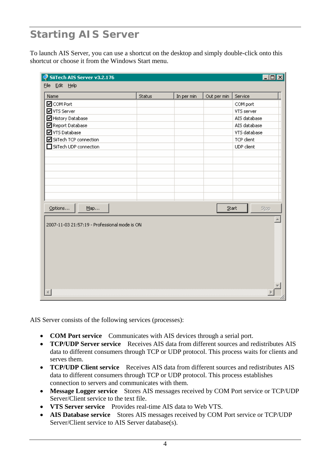## <span id="page-3-0"></span>**Starting AIS Server**

To launch AIS Server, you can use a shortcut on the desktop and simply double-click onto this shortcut or choose it from the Windows Start menu.

| $\Box$ o $\Box$<br>SiiTech AIS Server v3.2.176 |               |            |             |              |
|------------------------------------------------|---------------|------------|-------------|--------------|
| File Edit Help                                 |               |            |             |              |
| Name                                           | <b>Status</b> | In per min | Out per min | Service      |
| <b>Ø</b> COM Port                              |               |            |             | COM port     |
| VTS Server                                     |               |            |             | VTS server   |
| ■ History Database                             |               |            |             | AIS database |
| Report Database                                |               |            |             | AIS database |
| <b>☑</b> VTS Database                          |               |            |             | VTS database |
| SiiTech TCP connection                         |               |            |             | TCP client   |
| SiiTech UDP connection                         |               |            |             | UDP client   |
|                                                |               |            |             |              |
|                                                |               |            |             |              |
|                                                |               |            |             |              |
|                                                |               |            |             |              |
|                                                |               |            |             |              |
|                                                |               |            |             |              |
|                                                |               |            |             |              |
| Options<br>Map                                 |               |            | $^{Start}$  | Stop         |
|                                                |               |            |             |              |
| 2007-11-03 21:57:19 - Professional mode is ON  |               |            |             |              |
|                                                |               |            |             |              |
|                                                |               |            |             |              |
|                                                |               |            |             |              |
|                                                |               |            |             |              |
|                                                |               |            |             |              |
|                                                |               |            |             |              |
|                                                |               |            |             |              |
|                                                |               |            |             |              |
|                                                |               |            |             |              |

AIS Server consists of the following services (processes):

- **COM Port service** Communicates with AIS devices through a serial port.
- **TCP/UDP Server service** Receives AIS data from different sources and redistributes AIS data to different consumers through TCP or UDP protocol. This process waits for clients and serves them.
- **TCP/UDP Client service** Receives AIS data from different sources and redistributes AIS data to different consumers through TCP or UDP protocol. This process establishes connection to servers and communicates with them.
- **Message Logger service** Stores AIS messages received by COM Port service or TCP/UDP Server/Client service to the text file.
- **VTS Server service** Provides real-time AIS data to Web VTS.
- **AIS Database service** Stores AIS messages received by COM Port service or TCP/UDP Server/Client service to AIS Server database(s).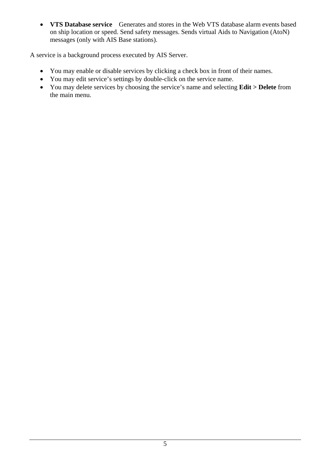• **VTS Database service** Generates and stores in the Web VTS database alarm events based on ship location or speed. Send safety messages. Sends virtual Aids to Navigation (AtoN) messages (only with AIS Base stations).

A service is a background process executed by AIS Server.

- You may enable or disable services by clicking a check box in front of their names.
- You may edit service's settings by double-click on the service name.
- You may delete services by choosing the service's name and selecting **Edit > Delete** from the main menu.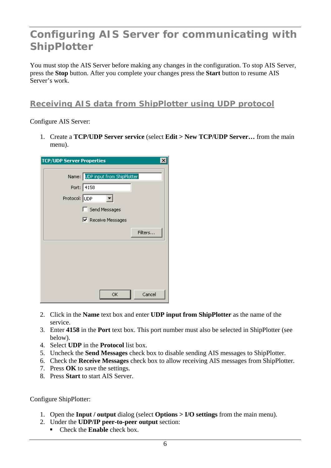## <span id="page-5-0"></span>**Configuring AIS Server for communicating with ShipPlotter**

You must stop the AIS Server before making any changes in the configuration. To stop AIS Server, press the **Stop** button. After you complete your changes press the **Start** button to resume AIS Server's work.

### **Receiving AIS data from ShipPlotter using UDP protocol**

#### Configure AIS Server:

1. Create a **TCP/UDP Server service** (select **Edit > New TCP/UDP Server…** from the main menu).

| <b>TCP/UDP Server Properties</b>                                                 | $\mathsf{x}$ |
|----------------------------------------------------------------------------------|--------------|
| Name: UDP input from ShipPlotter<br>Port: 4158<br>Protocol: UDP<br>Send Messages |              |
| <b>▽</b> Receive Messages                                                        | Filters      |
|                                                                                  |              |
| ОK                                                                               | Cancel       |

- 2. Click in the **Name** text box and enter **UDP input from ShipPlotter** as the name of the service.
- 3. Enter **4158** in the **Port** text box. This port number must also be selected in ShipPlotter (see below).
- 4. Select **UDP** in the **Protocol** list box.
- 5. Uncheck the **Send Messages** check box to disable sending AIS messages to ShipPlotter.
- 6. Check the **Receive Messages** check box to allow receiving AIS messages from ShipPlotter.
- 7. Press **OK** to save the settings.
- 8. Press **Start** to start AIS Server.

- 1. Open the **Input / output** dialog (select **Options > I/O settings** from the main menu).
- 2. Under the **UDP/IP peer-to-peer output** section:
	- Check the **Enable** check box.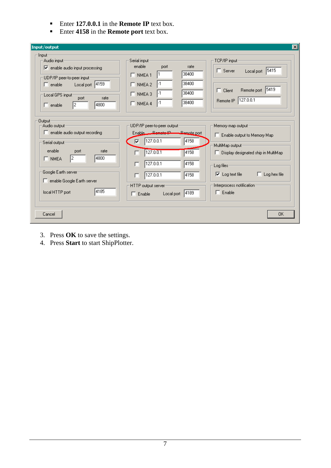- **Enter 127.0.0.1** in the **Remote IP** text box.
- Enter **4158** in the **Remote port** text box.

| Input/output                                                                                                                                                                                                                                       |                                                                                                                                                                                                                             | $\vert x \vert$                                                                                                                                                                                                                          |
|----------------------------------------------------------------------------------------------------------------------------------------------------------------------------------------------------------------------------------------------------|-----------------------------------------------------------------------------------------------------------------------------------------------------------------------------------------------------------------------------|------------------------------------------------------------------------------------------------------------------------------------------------------------------------------------------------------------------------------------------|
| ·Input-<br>Audio input:<br>$\overline{\triangledown}$ enable audio input processing<br>UDP/IP peer-to-peer input-<br>Local port 4159<br>$\Box$ enable<br>Local GPS input:<br>rate<br>port<br>14800<br>I2<br>$\Box$ enable                          | Serial input-<br>enable<br>port<br>rate<br>38400<br>$\Box$ NMEA <sub>1</sub><br>38400<br>-1<br>$\Box$ NMEA 2<br>38400<br>$\Box$ NMEA 3<br>38400<br>$\Box$ NMEA 4<br>-1                                                      | TCP/IP input-<br>5415<br>$\Box$ Server<br>Local port<br>Remote port 5419<br>$\Box$ Client<br>Remote IP 127.0.0.1                                                                                                                         |
| <b>Output</b><br>Audio output <sup>.</sup><br>$\Box$ enable audio output recording<br>Serial output:<br>enable<br>rate<br>port<br>4800<br>2<br>$\Box$ NMEA<br>Google Earth server<br>$\Box$ enable Google Earth server<br>14185<br>local HTTP port | UDP/IP peer-to-peer output:<br>Enable Remote IP-Remote port<br>127.0.0.1<br>4158<br>⊽<br>127.0.0.1<br>4158<br>г<br>127.0.0.1<br>4158<br>г<br>127.0.0.1<br>4158<br>HTTP output server<br>4189<br>Local port<br>$\Box$ Enable | Memory map output:<br>Enable output to Memory Map<br>MultiMap output-<br>$\Box$ Display designated ship in MultiMap<br>Log files:<br>$\overline{\vee}$ Log text file<br>Log hex file<br>г<br>Interprocess notification:<br>$\Box$ Enable |
| Cancel                                                                                                                                                                                                                                             |                                                                                                                                                                                                                             | <b>OK</b>                                                                                                                                                                                                                                |

- 3. Press **OK** to save the settings.
- 4. Press **Start** to start ShipPlotter.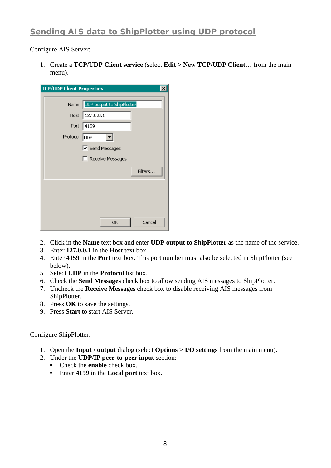## <span id="page-7-0"></span>**Sending AIS data to ShipPlotter using UDP protocol**

Configure AIS Server:

1. Create a **TCP/UDP Client service** (select **Edit > New TCP/UDP Client…** from the main menu).

| <b>TCP/UDP Client Properties</b><br>$\times$ |
|----------------------------------------------|
| Name: UDP output to ShipPlotter              |
| Host: 127.0.0.1                              |
| Port: 4159                                   |
| Protocol: UDP                                |
| <b>▽</b> Send Messages                       |
| Receive Messages                             |
| Filters                                      |
|                                              |
|                                              |
|                                              |
| Cancel<br>ОK                                 |

- 2. Click in the **Name** text box and enter **UDP output to ShipPlotter** as the name of the service.
- 3. Enter **127.0.0.1** in the **Host** text box.
- 4. Enter **4159** in the **Port** text box. This port number must also be selected in ShipPlotter (see below).
- 5. Select **UDP** in the **Protocol** list box.
- 6. Check the **Send Messages** check box to allow sending AIS messages to ShipPlotter.
- 7. Uncheck the **Receive Messages** check box to disable receiving AIS messages from ShipPlotter.
- 8. Press **OK** to save the settings.
- 9. Press **Start** to start AIS Server.

- 1. Open the **Input / output** dialog (select **Options > I/O settings** from the main menu).
- 2. Under the **UDP/IP peer-to-peer input** section:
	- **Check the enable check box.**
	- Enter **4159** in the **Local port** text box.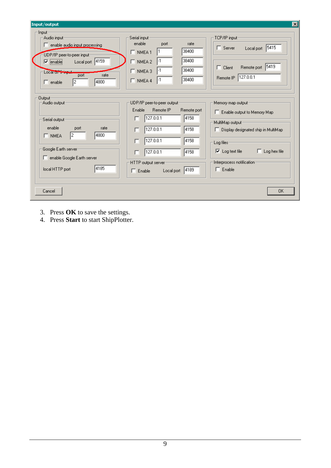| Input/output                                                                                                                                                                                                                                                                                                             | $\vert x \vert$                                                                                                                                                                         |
|--------------------------------------------------------------------------------------------------------------------------------------------------------------------------------------------------------------------------------------------------------------------------------------------------------------------------|-----------------------------------------------------------------------------------------------------------------------------------------------------------------------------------------|
| Input-<br>Audio input:<br>Serial input:<br>enable<br>enable audio input processing<br>п.<br>$\Box$ NMEA <sub>1</sub><br>UDP/IP peer-to-peer input-<br>Local port 4159<br>$\Box$ NMEA 2<br>$\nabla$ enable<br>$\Box$ NMEA 3<br>Local of <del>Simpul</del><br>rate<br>port<br>$\Box$ NMEA 4<br>4800<br>I2<br>$\Box$ enable | TCP/IP input:<br>port<br>rate<br> 5415 <br>$\Box$ Server<br>Local port<br>38400<br>38400<br>5419<br>Remote port<br>$\Box$ Client<br>38400<br>Remote IP 127.0.0.1<br>38400               |
| <b>Output</b><br>UDP/IP peer-to-peer output:<br>Audio output <sup>.</sup><br>Enable<br>127.0.0.1<br>п<br>Serial output:<br>enable<br>port<br>rate<br>127.0.0.1<br>г<br>4800<br>12.<br>$\Box$ NMEA<br>127.0.0.1<br>г                                                                                                      | Memory map output:<br>Remote IP<br>Remote port<br>E Enable output to Memory Map<br>4158<br>MultiMap output:<br>4158<br>$\Box$ Display designated ship in MultiMap<br>4158<br>Log files: |
| Google Earth server<br>127.0.0.1<br>г<br>enable Google Earth server<br>HTTP output server<br>4185<br>local HTTP port<br>$\Box$ Enable                                                                                                                                                                                    | $\Box$ Log hex file<br>$\nabla$ Log text file<br>4158<br>Interprocess notification-<br>$\Box$ Enable<br>4189<br>Local port                                                              |
| Cancel                                                                                                                                                                                                                                                                                                                   | <b>OK</b>                                                                                                                                                                               |

- 3. Press **OK** to save the settings.
- 4. Press **Start** to start ShipPlotter.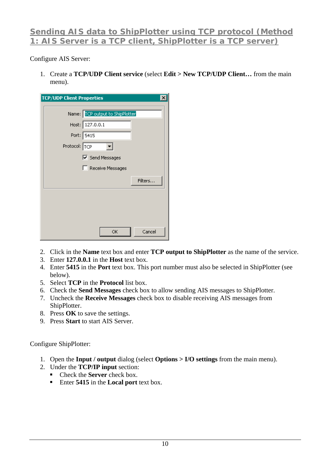### <span id="page-9-0"></span>**Sending AIS data to ShipPlotter using TCP protocol (Method 1: AIS Server is a TCP client, ShipPlotter is a TCP server)**

#### Configure AIS Server:

1. Create a **TCP/UDP Client service** (select **Edit > New TCP/UDP Client…** from the main menu).

| <b>TCP/UDP Client Properties</b> |                                 | $\times$ |
|----------------------------------|---------------------------------|----------|
|                                  | Name: TCP output to ShipPlotter |          |
|                                  | Host: 127.0.0.1                 |          |
|                                  | Port: 5415                      |          |
| Protocol: TCP                    |                                 |          |
|                                  | $\nabla$ Send Messages          |          |
|                                  | Receive Messages                |          |
|                                  |                                 | Filters  |
|                                  |                                 |          |
|                                  |                                 |          |
|                                  |                                 |          |
|                                  | OK                              | Cancel   |

- 2. Click in the **Name** text box and enter **TCP output to ShipPlotter** as the name of the service.
- 3. Enter **127.0.0.1** in the **Host** text box.
- 4. Enter **5415** in the **Port** text box. This port number must also be selected in ShipPlotter (see below).
- 5. Select **TCP** in the **Protocol** list box.
- 6. Check the **Send Messages** check box to allow sending AIS messages to ShipPlotter.
- 7. Uncheck the **Receive Messages** check box to disable receiving AIS messages from ShipPlotter.
- 8. Press **OK** to save the settings.
- 9. Press **Start** to start AIS Server.

- 1. Open the **Input / output** dialog (select **Options > I/O settings** from the main menu).
- 2. Under the **TCP/IP input** section:
	- Check the **Server** check box.
	- Enter **5415** in the **Local port** text box.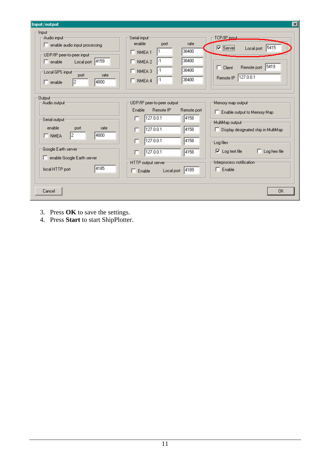| Input/output                                                                                                                                                                                   |                                                                                                                                                            | $\vert x \vert$                                                                                                                |
|------------------------------------------------------------------------------------------------------------------------------------------------------------------------------------------------|------------------------------------------------------------------------------------------------------------------------------------------------------------|--------------------------------------------------------------------------------------------------------------------------------|
| - Input-<br>Audio input:<br>enable audio input processing<br>UDP/IP peer-to-peer input-<br>Local port 4159<br>$\Box$ enable<br>Local GPS input:<br>port<br>rate<br>4800<br>12<br>$\Box$ enable | Serial input:<br>enable<br>rate<br>port<br>38400<br>$\Box$ NMEA <sub>1</sub><br>38400<br>$\Box$ NMEA 2<br>38400<br>$\Box$ NMEA 3<br>38400<br>$\Box$ NMEA 4 | TCP/IP joout:<br>$\nabla$ Server<br>Local port 5415<br>5419<br>Remote port<br>$\Box$ Client<br>127.0.0.1<br>Remote IP          |
| Output-<br>-Audio output <sup>.</sup><br>Serial output:<br>enable<br>port<br>rate                                                                                                              | UDP/IP peer-to-peer output:<br>Enable<br>Remote IP<br>Remote port<br>127.0.0.1<br>4158<br>п                                                                | Memory map output:<br>E Enable output to Memory Map<br>MultiMap output:                                                        |
| 4800<br>12.<br>$\Box$ NMEA<br>Google Earth server<br>F enable Google Earth server                                                                                                              | 127.0.0.1<br>4158<br>г<br>127.0.0.1<br>4158<br>г<br>127.0.0.1<br>4158<br>HTTP output server                                                                | $\Box$ Display designated ship in MultiMap<br>Log files<br>$\nabla$ Log text file<br>Log hex file<br>Interprocess notification |
| 4185<br>local HTTP port<br>Cancel                                                                                                                                                              | 4189<br>Local port<br>$\Box$ Enable                                                                                                                        | $\Box$ Enable<br><b>OK</b>                                                                                                     |

- 3. Press **OK** to save the settings.
- 4. Press **Start** to start ShipPlotter.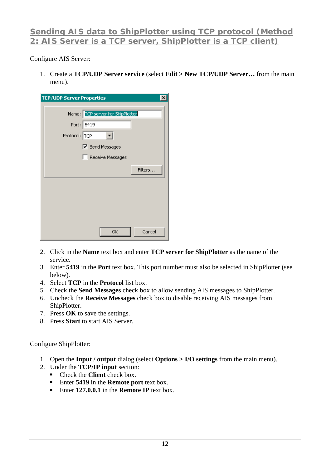### <span id="page-11-0"></span>**Sending AIS data to ShipPlotter using TCP protocol (Method 2: AIS Server is a TCP server, ShipPlotter is a TCP client)**

#### Configure AIS Server:

1. Create a **TCP/UDP Server service** (select **Edit > New TCP/UDP Server…** from the main menu).

| <b>TCP/UDP Server Properties</b>                                |                                            |         |
|-----------------------------------------------------------------|--------------------------------------------|---------|
| Name: TCP server for ShipPlotter<br>Port: 5419<br>Protocol: TCP | $\nabla$ Send Messages<br>Receive Messages |         |
|                                                                 |                                            | Filters |
|                                                                 |                                            |         |
|                                                                 | ОK                                         | Cancel  |

- 2. Click in the **Name** text box and enter **TCP server for ShipPlotter** as the name of the service.
- 3. Enter **5419** in the **Port** text box. This port number must also be selected in ShipPlotter (see below).
- 4. Select **TCP** in the **Protocol** list box.
- 5. Check the **Send Messages** check box to allow sending AIS messages to ShipPlotter.
- 6. Uncheck the **Receive Messages** check box to disable receiving AIS messages from ShipPlotter.
- 7. Press **OK** to save the settings.
- 8. Press **Start** to start AIS Server.

- 1. Open the **Input / output** dialog (select **Options > I/O settings** from the main menu).
- 2. Under the **TCP/IP input** section:
	- Check the **Client** check box.
	- Enter **5419** in the **Remote port** text box.
	- Enter **127.0.0.1** in the **Remote IP** text box.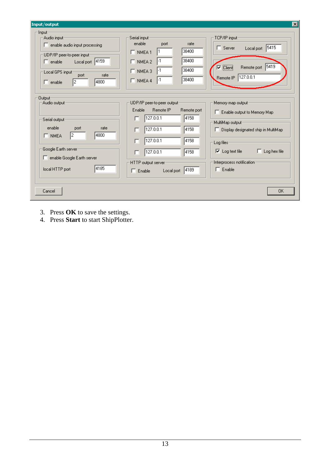| Input/output                                                                                                                                                                                          |                                                                                                                                                                      | 図                                                                                                                                                                                  |
|-------------------------------------------------------------------------------------------------------------------------------------------------------------------------------------------------------|----------------------------------------------------------------------------------------------------------------------------------------------------------------------|------------------------------------------------------------------------------------------------------------------------------------------------------------------------------------|
| - Input-<br>Audio input:<br>$\Box$ enable audio input processing<br>UDP/IP peer-to-peer input-<br>Local port 4159<br>$\Box$ enable<br>Local GPS input:<br>port<br>rate<br>4800<br>12<br>$\Box$ enable | Serial input:<br>enable<br>rate<br>port<br>38400<br>$\Box$ NMEA <sub>1</sub><br>38400<br>$\Box$ NMEA 2<br>38400<br>$\Box$ NMEA 3<br>38400<br>$\Box$ NMEA 4           | TCP/IP input<br>Local port 5415<br>$\Box$ Server<br>5419<br>$\nabla$ Client<br>Remote port<br>127.0.0.1<br>Remote IP                                                               |
| Output-<br>-Audio output <sup>.</sup><br>Serial output:<br>enable<br>port<br>rate<br>14800<br>12.<br>$\Box$ NMEA<br>Google Earth server<br>F enable Google Earth server                               | UDP/IP peer-to-peer output:<br>Enable<br>Remote IP<br>Remote port<br>4158<br>127.0.0.1<br>п<br>127.0.0.1<br>4158<br>г<br>127.0.0.1<br>4158<br>г<br>127.0.0.1<br>4158 | Memory map output:<br>E Enable output to Memory Map<br>MultiMap output:<br>$\Box$ Display designated ship in MultiMap<br>Log files:<br>$\nabla$ Log text file<br>п<br>Log hex file |
| 4185<br>local HTTP port<br>Cancel                                                                                                                                                                     | HTTP output server<br>4189<br>$\Box$ Enable<br>Local port                                                                                                            | Interprocess notification:<br>$\Box$ Enable<br><b>OK</b>                                                                                                                           |

- 3. Press **OK** to save the settings.
- 4. Press **Start** to start ShipPlotter.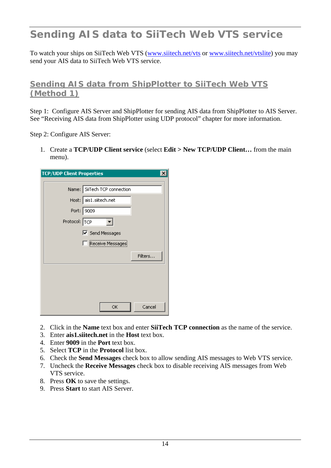## <span id="page-13-0"></span>**Sending AIS data to SiiTech Web VTS service**

To watch your ships on SiiTech Web VTS [\(www.siitech.net/vts](http://www.siitech.net/vts) or [www.siitech.net/vtslite](http://www.siitech.net/vtslite)) you may send your AIS data to SiiTech Web VTS service.

### **Sending AIS data from ShipPlotter to SiiTech Web VTS (Method 1)**

Step 1: Configure AIS Server and ShipPlotter for sending AIS data from ShipPlotter to AIS Server. See "Receiving AIS data from ShipPlotter using UDP protocol" chapter for more information.

Step 2: Configure AIS Server:

1. Create a **TCP/UDP Client service** (select **Edit > New TCP/UDP Client…** from the main menu).

| <b>TCP/UDP Client Properties</b> |                              | $\boldsymbol{\mathsf{x}}$ |
|----------------------------------|------------------------------|---------------------------|
|                                  | Name: SiiTech TCP connection |                           |
|                                  | Host: ais1.siitech.net       |                           |
| Port: 9009                       |                              |                           |
| Protocol: TCP                    |                              |                           |
|                                  | <b>▽</b> Send Messages       |                           |
|                                  | Receive Messages             |                           |
|                                  |                              | Filters                   |
|                                  |                              |                           |
|                                  |                              |                           |
|                                  |                              |                           |
|                                  | ОК                           | Cancel                    |

- 2. Click in the **Name** text box and enter **SiiTech TCP connection** as the name of the service.
- 3. Enter **ais1.siitech.net** in the **Host** text box.
- 4. Enter **9009** in the **Port** text box.
- 5. Select **TCP** in the **Protocol** list box.
- 6. Check the **Send Messages** check box to allow sending AIS messages to Web VTS service.
- 7. Uncheck the **Receive Messages** check box to disable receiving AIS messages from Web VTS service.
- 8. Press **OK** to save the settings.
- 9. Press **Start** to start AIS Server.